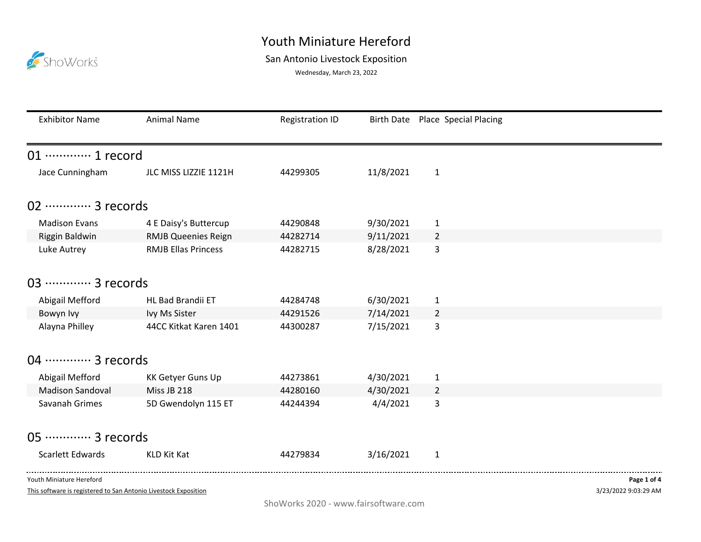## Youth Miniature Hereford

## ShoWorks

## San Antonio Livestock Exposition

Wednesday, March 23, 2022

| <b>Exhibitor Name</b>       | <b>Animal Name</b>         | <b>Registration ID</b> |           | Birth Date Place Special Placing |             |
|-----------------------------|----------------------------|------------------------|-----------|----------------------------------|-------------|
| 01 ············· 1 record   |                            |                        |           |                                  |             |
| Jace Cunningham             | JLC MISS LIZZIE 1121H      | 44299305               | 11/8/2021 | $\mathbf{1}$                     |             |
| 02 ············· 3 records  |                            |                        |           |                                  |             |
| <b>Madison Evans</b>        | 4 E Daisy's Buttercup      | 44290848               | 9/30/2021 | $\mathbf{1}$                     |             |
| Riggin Baldwin              | <b>RMJB Queenies Reign</b> | 44282714               | 9/11/2021 | $\overline{2}$                   |             |
| Luke Autrey                 | <b>RMJB Ellas Princess</b> | 44282715               | 8/28/2021 | 3                                |             |
| 03 ·············· 3 records |                            |                        |           |                                  |             |
| Abigail Mefford             | HL Bad Brandii ET          | 44284748               | 6/30/2021 | 1                                |             |
| Bowyn Ivy                   | Ivy Ms Sister              | 44291526               | 7/14/2021 | 2                                |             |
| Alayna Philley              | 44CC Kitkat Karen 1401     | 44300287               | 7/15/2021 | 3                                |             |
| 04 ………… 3 records           |                            |                        |           |                                  |             |
| Abigail Mefford             | <b>KK Getyer Guns Up</b>   | 44273861               | 4/30/2021 | $\mathbf{1}$                     |             |
| <b>Madison Sandoval</b>     | Miss JB 218                | 44280160               | 4/30/2021 | $\overline{2}$                   |             |
| Savanah Grimes              | 5D Gwendolyn 115 ET        | 44244394               | 4/4/2021  | 3                                |             |
| 05 ·············· 3 records |                            |                        |           |                                  |             |
| Scarlett Edwards            | <b>KLD Kit Kat</b>         | 44279834               | 3/16/2021 | $\mathbf{1}$                     |             |
| Youth Miniature Hereford    |                            |                        |           |                                  | Page 1 of 4 |

This software is registered to San Antonio Livestock Exposition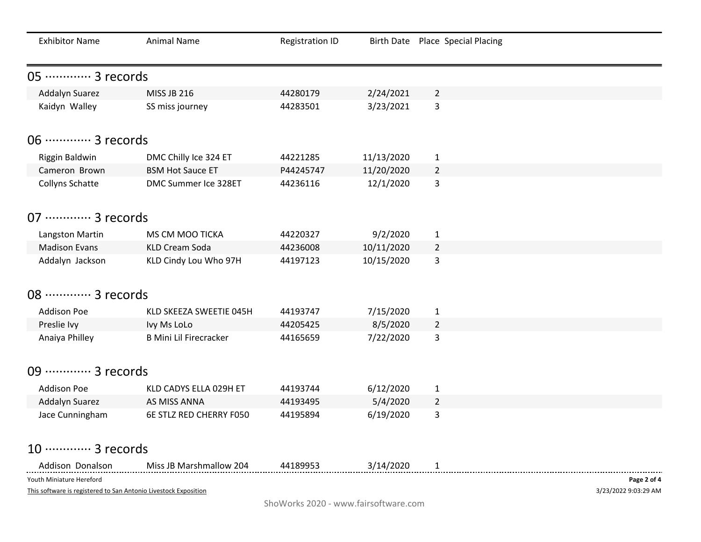| <b>Exhibitor Name</b>                                           | <b>Animal Name</b>            | <b>Registration ID</b> |            | Birth Date Place Special Placing |                      |
|-----------------------------------------------------------------|-------------------------------|------------------------|------------|----------------------------------|----------------------|
| 05 ·············· 3 records                                     |                               |                        |            |                                  |                      |
| Addalyn Suarez                                                  | <b>MISS JB 216</b>            | 44280179               | 2/24/2021  | $\overline{2}$                   |                      |
| Kaidyn Walley                                                   | SS miss journey               | 44283501               | 3/23/2021  | 3                                |                      |
| 06 ············· 3 records                                      |                               |                        |            |                                  |                      |
| Riggin Baldwin                                                  | DMC Chilly Ice 324 ET         | 44221285               | 11/13/2020 | $\mathbf{1}$                     |                      |
| Cameron Brown                                                   | <b>BSM Hot Sauce ET</b>       | P44245747              | 11/20/2020 | $\overline{2}$                   |                      |
| Collyns Schatte                                                 | DMC Summer Ice 328ET          | 44236116               | 12/1/2020  | 3                                |                      |
| 07 ············· 3 records                                      |                               |                        |            |                                  |                      |
| Langston Martin                                                 | MS CM MOO TICKA               | 44220327               | 9/2/2020   | $\mathbf{1}$                     |                      |
| <b>Madison Evans</b>                                            | <b>KLD Cream Soda</b>         | 44236008               | 10/11/2020 | $\overline{2}$                   |                      |
| Addalyn Jackson                                                 | KLD Cindy Lou Who 97H         | 44197123               | 10/15/2020 | 3                                |                      |
|                                                                 |                               |                        |            |                                  |                      |
| 08 ………… 3 records                                               |                               |                        |            |                                  |                      |
| <b>Addison Poe</b>                                              | KLD SKEEZA SWEETIE 045H       | 44193747               | 7/15/2020  | $\mathbf{1}$                     |                      |
| Preslie Ivy                                                     | Ivy Ms LoLo                   | 44205425               | 8/5/2020   | $\overline{2}$                   |                      |
| Anaiya Philley                                                  | <b>B Mini Lil Firecracker</b> | 44165659               | 7/22/2020  | 3                                |                      |
|                                                                 |                               |                        |            |                                  |                      |
| 09 ·············· 3 records                                     |                               |                        |            |                                  |                      |
| <b>Addison Poe</b>                                              | KLD CADYS ELLA 029H ET        | 44193744               | 6/12/2020  | $\mathbf{1}$                     |                      |
| Addalyn Suarez                                                  | AS MISS ANNA                  | 44193495               | 5/4/2020   | $\overline{2}$                   |                      |
| Jace Cunningham                                                 | 6E STLZ RED CHERRY F050       | 44195894               | 6/19/2020  | 3                                |                      |
| 10 ············· 3 records                                      |                               |                        |            |                                  |                      |
| Addison Donalson                                                | Miss JB Marshmallow 204       | 44189953               | 3/14/2020  | $\mathbf{1}$                     |                      |
| Youth Miniature Hereford                                        |                               |                        |            |                                  | Page 2 of 4          |
| This software is registered to San Antonio Livestock Exposition |                               |                        |            |                                  | 3/23/2022 9:03:29 AM |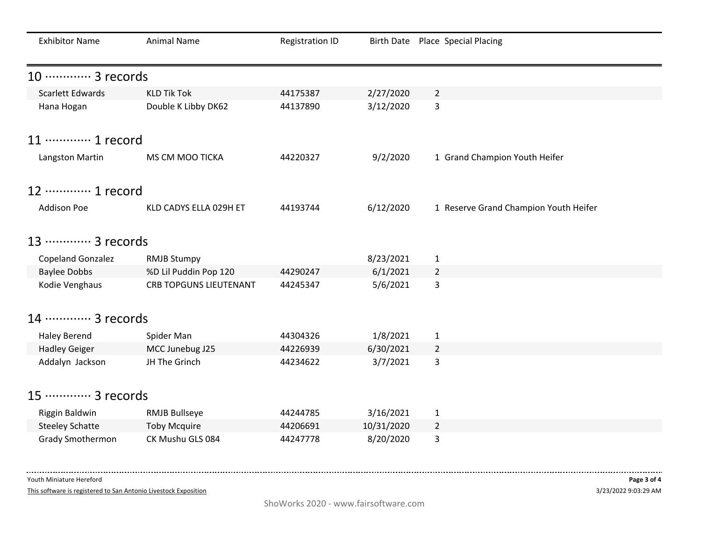| <b>Exhibitor Name</b>      | <b>Animal Name</b>            | <b>Registration ID</b> |            | Birth Date Place Special Placing      |
|----------------------------|-------------------------------|------------------------|------------|---------------------------------------|
| 10 ············· 3 records |                               |                        |            |                                       |
| <b>Scarlett Edwards</b>    | <b>KLD Tik Tok</b>            | 44175387               | 2/27/2020  | $\overline{2}$                        |
| Hana Hogan                 | Double K Libby DK62           | 44137890               | 3/12/2020  | 3                                     |
| 11 ………… 1 record           |                               |                        |            |                                       |
| Langston Martin            | MS CM MOO TICKA               | 44220327               | 9/2/2020   | 1 Grand Champion Youth Heifer         |
| 12 ………… 1 record           |                               |                        |            |                                       |
| <b>Addison Poe</b>         | KLD CADYS ELLA 029H ET        | 44193744               | 6/12/2020  | 1 Reserve Grand Champion Youth Heifer |
| 13 ………… 3 records          |                               |                        |            |                                       |
| <b>Copeland Gonzalez</b>   | <b>RMJB Stumpy</b>            |                        | 8/23/2021  | $\mathbf{1}$                          |
| <b>Baylee Dobbs</b>        | %D Lil Puddin Pop 120         | 44290247               | 6/1/2021   | $\overline{2}$                        |
| Kodie Venghaus             | <b>CRB TOPGUNS LIEUTENANT</b> | 44245347               | 5/6/2021   | 3                                     |
| 14 ………… 3 records          |                               |                        |            |                                       |
| <b>Haley Berend</b>        | Spider Man                    | 44304326               | 1/8/2021   | $\mathbf{1}$                          |
| <b>Hadley Geiger</b>       | MCC Junebug J25               | 44226939               | 6/30/2021  | $\overline{2}$                        |
| Addalyn Jackson            | JH The Grinch                 | 44234622               | 3/7/2021   | 3                                     |
| 15 ············· 3 records |                               |                        |            |                                       |
| Riggin Baldwin             | <b>RMJB Bullseye</b>          | 44244785               | 3/16/2021  | $\mathbf{1}$                          |
| <b>Steeley Schatte</b>     | <b>Toby Mcquire</b>           | 44206691               | 10/31/2020 | $\overline{2}$                        |
| <b>Grady Smothermon</b>    | CK Mushu GLS 084              | 44247778               | 8/20/2020  | 3                                     |

Youth Miniature Hereford

This software is registered to San Antonio Livestock Exposition